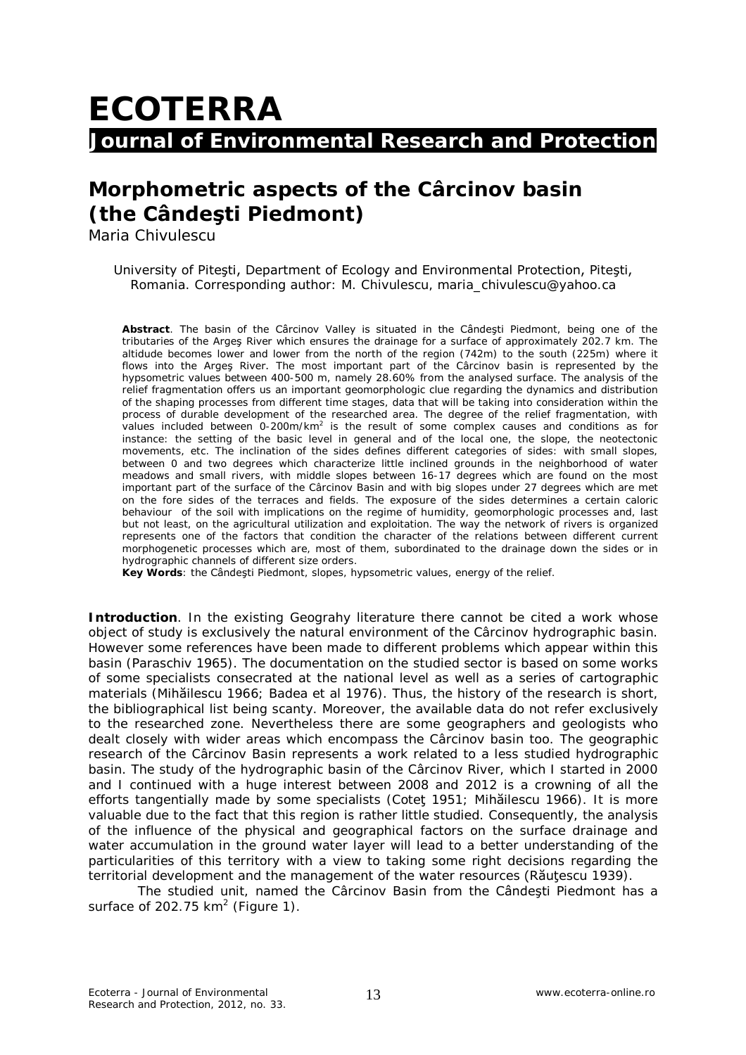## **ECOTERRA Journal of Environmental Research and Protection**

## **Morphometric aspects of the Cârcinov basin (the Cândeşti Piedmont)**

Maria Chivulescu

University of Piteşti, Department of Ecology and Environmental Protection, Piteşti, Romania. Corresponding author: M. Chivulescu, maria\_chivulescu@yahoo.ca

**Abstract**. The basin of the Cârcinov Valley is situated in the Cândeşti Piedmont, being one of the tributaries of the Argeş River which ensures the drainage for a surface of approximately 202.7 km. The altidude becomes lower and lower from the north of the region (742m) to the south (225m) where it flows into the Arges River. The most important part of the Carcinov basin is represented by the hypsometric values between 400-500 m, namely 28.60% from the analysed surface. The analysis of the relief fragmentation offers us an important geomorphologic clue regarding the dynamics and distribution of the shaping processes from different time stages, data that will be taking into consideration within the process of durable development of the researched area. The degree of the relief fragmentation, with values included between 0-200m/km<sup>2</sup> is the result of some complex causes and conditions as for instance: the setting of the basic level in general and of the local one, the slope, the neotectonic movements, etc. The inclination of the sides defines different categories of sides: with small slopes, between 0 and two degrees which characterize little inclined grounds in the neighborhood of water meadows and small rivers, with middle slopes between 16-17 degrees which are found on the most important part of the surface of the Cârcinov Basin and with big slopes under 27 degrees which are met on the fore sides of the terraces and fields. The exposure of the sides determines a certain caloric behaviour of the soil with implications on the regime of humidity, geomorphologic processes and, last but not least, on the agricultural utilization and exploitation. The way the network of rivers is organized represents one of the factors that condition the character of the relations between different current morphogenetic processes which are, most of them, subordinated to the drainage down the sides or in hydrographic channels of different size orders.

**Key Words**: the Cândeşti Piedmont, slopes, hypsometric values, energy of the relief.

**Introduction**. In the existing Geograhy literature there cannot be cited a work whose object of study is exclusively the natural environment of the Cârcinov hydrographic basin. However some references have been made to different problems which appear within this basin (Paraschiv 1965). The documentation on the studied sector is based on some works of some specialists consecrated at the national level as well as a series of cartographic materials (Mihăilescu 1966; Badea et al 1976). Thus, the history of the research is short, the bibliographical list being scanty. Moreover, the available data do not refer exclusively to the researched zone. Nevertheless there are some geographers and geologists who dealt closely with wider areas which encompass the Cârcinov basin too. The geographic research of the Cârcinov Basin represents a work related to a less studied hydrographic basin. The study of the hydrographic basin of the Cârcinov River, which I started in 2000 and I continued with a huge interest between 2008 and 2012 is a crowning of all the efforts tangentially made by some specialists (Coteţ 1951; Mihăilescu 1966). It is more valuable due to the fact that this region is rather little studied. Consequently, the analysis of the influence of the physical and geographical factors on the surface drainage and water accumulation in the ground water layer will lead to a better understanding of the particularities of this territory with a view to taking some right decisions regarding the territorial development and the management of the water resources (Răutescu 1939).

The studied unit, named the Cârcinov Basin from the Cândeşti Piedmont has a surface of 202.75 km<sup>2</sup> (Figure 1).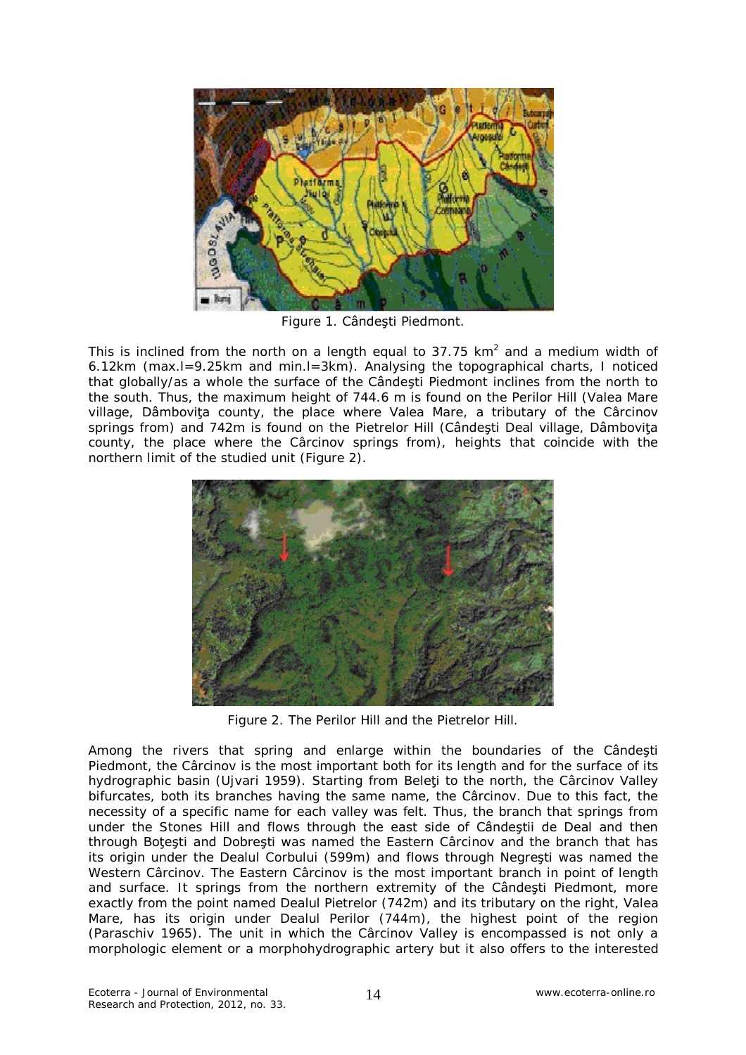

Figure 1. Cândeşti Piedmont.

This is inclined from the north on a length equal to 37.75 km<sup>2</sup> and a medium width of 6.12km (max.l=9.25km and min.l=3km). Analysing the topographical charts, I noticed that globally/as a whole the surface of the Cândeşti Piedmont inclines from the north to the south. Thus, the maximum height of 744.6 m is found on the Perilor Hill (Valea Mare village, Dâmboviţa county, the place where Valea Mare, a tributary of the Cârcinov springs from) and 742m is found on the Pietrelor Hill (Cândești Deal village, Dâmbovița county, the place where the Cârcinov springs from), heights that coincide with the northern limit of the studied unit (Figure 2).



Figure 2. The Perilor Hill and the Pietrelor Hill.

Among the rivers that spring and enlarge within the boundaries of the Cândeşti Piedmont, the Cârcinov is the most important both for its length and for the surface of its hydrographic basin (Ujvari 1959). Starting from Beleti to the north, the Cârcinov Valley bifurcates, both its branches having the same name, the Cârcinov. Due to this fact, the necessity of a specific name for each valley was felt. Thus, the branch that springs from under the Stones Hill and flows through the east side of Cândeştii de Deal and then through Botesti and Dobresti was named the Eastern Cârcinov and the branch that has its origin under the Dealul Corbului (599m) and flows through Negreşti was named the Western Cârcinov. The Eastern Cârcinov is the most important branch in point of length and surface. It springs from the northern extremity of the Cândeşti Piedmont, more exactly from the point named Dealul Pietrelor (742m) and its tributary on the right, Valea Mare, has its origin under Dealul Perilor (744m), the highest point of the region (Paraschiv 1965). The unit in which the Cârcinov Valley is encompassed is not only a morphologic element or a morphohydrographic artery but it also offers to the interested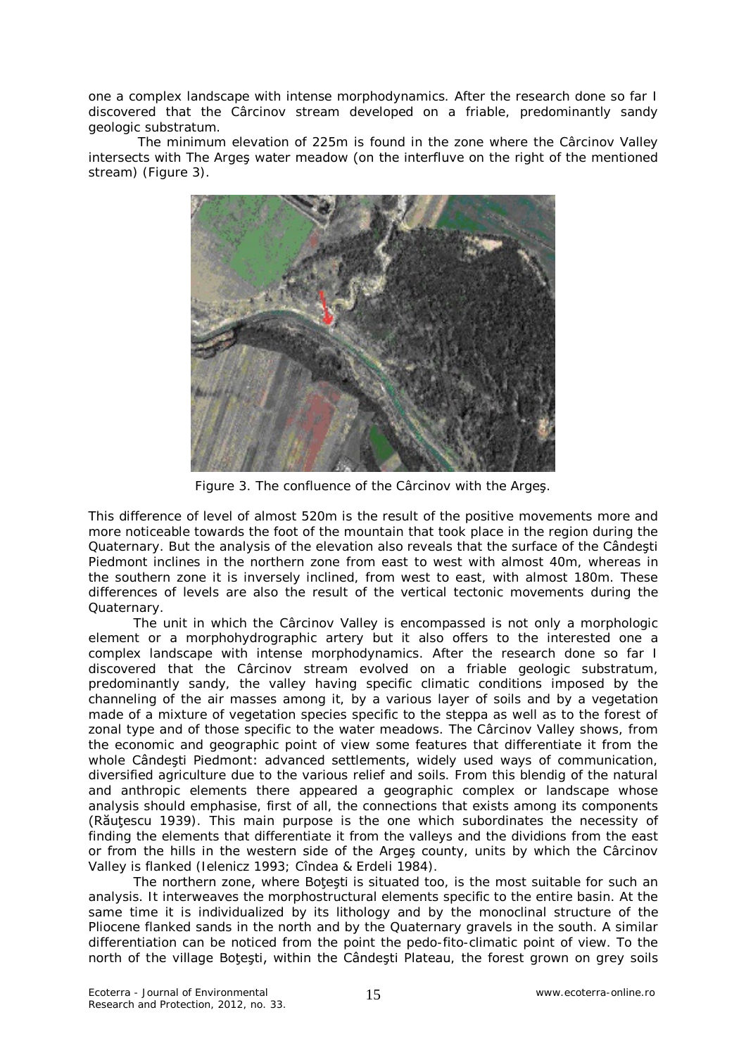one a complex landscape with intense morphodynamics. After the research done so far I discovered that the Cârcinov stream developed on a friable, predominantly sandy geologic substratum.

The minimum elevation of 225m is found in the zone where the Cârcinov Valley intersects with The Argeş water meadow (on the interfluve on the right of the mentioned stream) (Figure 3).



Figure 3. The confluence of the Cârcinov with the Argeş.

This difference of level of almost 520m is the result of the positive movements more and more noticeable towards the foot of the mountain that took place in the region during the Quaternary. But the analysis of the elevation also reveals that the surface of the Cândeşti Piedmont inclines in the northern zone from east to west with almost 40m, whereas in the southern zone it is inversely inclined, from west to east, with almost 180m. These differences of levels are also the result of the vertical tectonic movements during the Quaternary.

The unit in which the Cârcinov Valley is encompassed is not only a morphologic element or a morphohydrographic artery but it also offers to the interested one a complex landscape with intense morphodynamics. After the research done so far I discovered that the Cârcinov stream evolved on a friable geologic substratum, predominantly sandy, the valley having specific climatic conditions imposed by the channeling of the air masses among it, by a various layer of soils and by a vegetation made of a mixture of vegetation species specific to the steppa as well as to the forest of zonal type and of those specific to the water meadows. The Cârcinov Valley shows, from the economic and geographic point of view some features that differentiate it from the whole Cândeşti Piedmont: advanced settlements, widely used ways of communication, diversified agriculture due to the various relief and soils. From this blendig of the natural and anthropic elements there appeared a geographic complex or landscape whose analysis should emphasise, first of all, the connections that exists among its components (Răuţescu 1939). This main purpose is the one which subordinates the necessity of finding the elements that differentiate it from the valleys and the dividions from the east or from the hills in the western side of the Argeş county, units by which the Cârcinov Valley is flanked (Ielenicz 1993; Cîndea & Erdeli 1984).

The northern zone, where Botesti is situated too, is the most suitable for such an analysis. It interweaves the morphostructural elements specific to the entire basin. At the same time it is individualized by its lithology and by the monoclinal structure of the Pliocene flanked sands in the north and by the Quaternary gravels in the south. A similar differentiation can be noticed from the point the pedo-fito-climatic point of view. To the north of the village Botesti, within the Cândesti Plateau, the forest grown on grey soils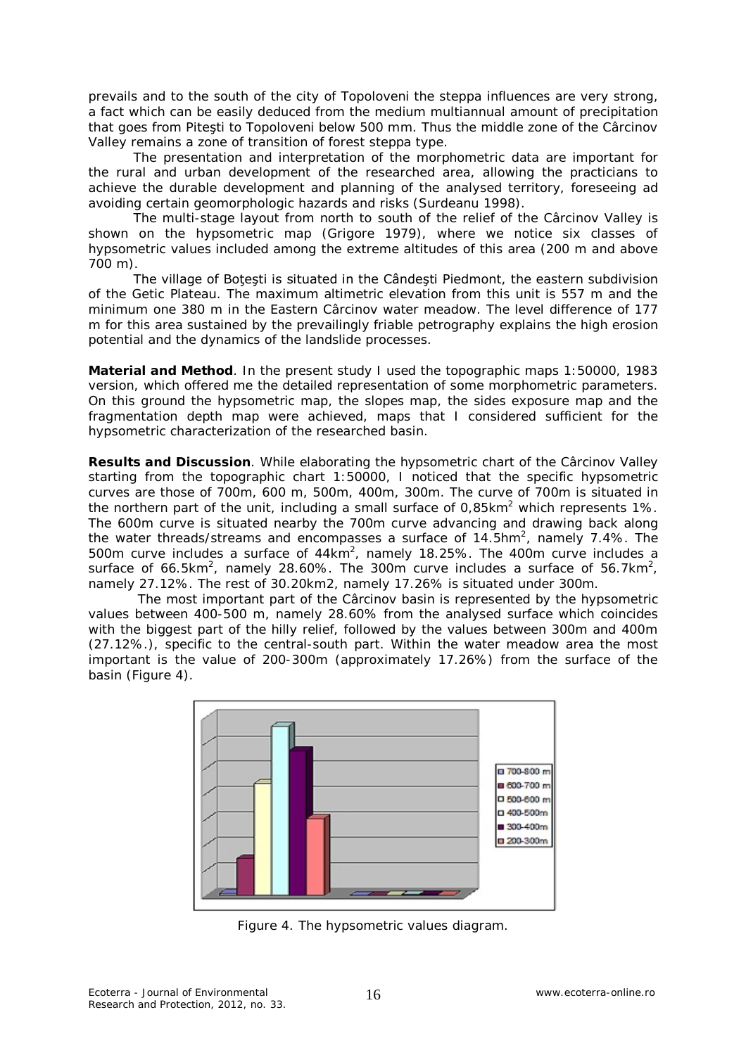prevails and to the south of the city of Topoloveni the steppa influences are very strong, a fact which can be easily deduced from the medium multiannual amount of precipitation that goes from Piteşti to Topoloveni below 500 mm. Thus the middle zone of the Cârcinov Valley remains a zone of transition of forest steppa type.

The presentation and interpretation of the morphometric data are important for the rural and urban development of the researched area, allowing the practicians to achieve the durable development and planning of the analysed territory, foreseeing ad avoiding certain geomorphologic hazards and risks (Surdeanu 1998).

The multi-stage layout from north to south of the relief of the Cârcinov Valley is shown on the hypsometric map (Grigore 1979), where we notice six classes of hypsometric values included among the extreme altitudes of this area (200 m and above 700 m).

The village of Botesti is situated in the Cândesti Piedmont, the eastern subdivision of the Getic Plateau. The maximum altimetric elevation from this unit is 557 m and the minimum one 380 m in the Eastern Cârcinov water meadow. The level difference of 177 m for this area sustained by the prevailingly friable petrography explains the high erosion potential and the dynamics of the landslide processes.

**Material and Method**. In the present study I used the topographic maps 1:50000, 1983 version, which offered me the detailed representation of some morphometric parameters. On this ground the hypsometric map, the slopes map, the sides exposure map and the fragmentation depth map were achieved, maps that I considered sufficient for the hypsometric characterization of the researched basin.

**Results and Discussion**. While elaborating the hypsometric chart of the Cârcinov Valley starting from the topographic chart 1:50000, I noticed that the specific hypsometric curves are those of 700m, 600 m, 500m, 400m, 300m. The curve of 700m is situated in the northern part of the unit, including a small surface of 0,85km<sup>2</sup> which represents 1%. The 600m curve is situated nearby the 700m curve advancing and drawing back along the water threads/streams and encompasses a surface of 14.5hm<sup>2</sup>, namely 7.4%. The 500m curve includes a surface of  $44km^2$ , namely 18.25%. The 400m curve includes a surface of 66.5km<sup>2</sup>, namely 28.60%. The 300m curve includes a surface of 56.7km<sup>2</sup>, namely 27.12%. The rest of 30.20km2, namely 17.26% is situated under 300m.

The most important part of the Cârcinov basin is represented by the hypsometric values between 400-500 m, namely 28.60% from the analysed surface which coincides with the biggest part of the hilly relief, followed by the values between 300m and 400m (27.12%.), specific to the central-south part. Within the water meadow area the most important is the value of 200-300m (approximately 17.26%) from the surface of the basin (Figure 4).



Figure 4. The hypsometric values diagram.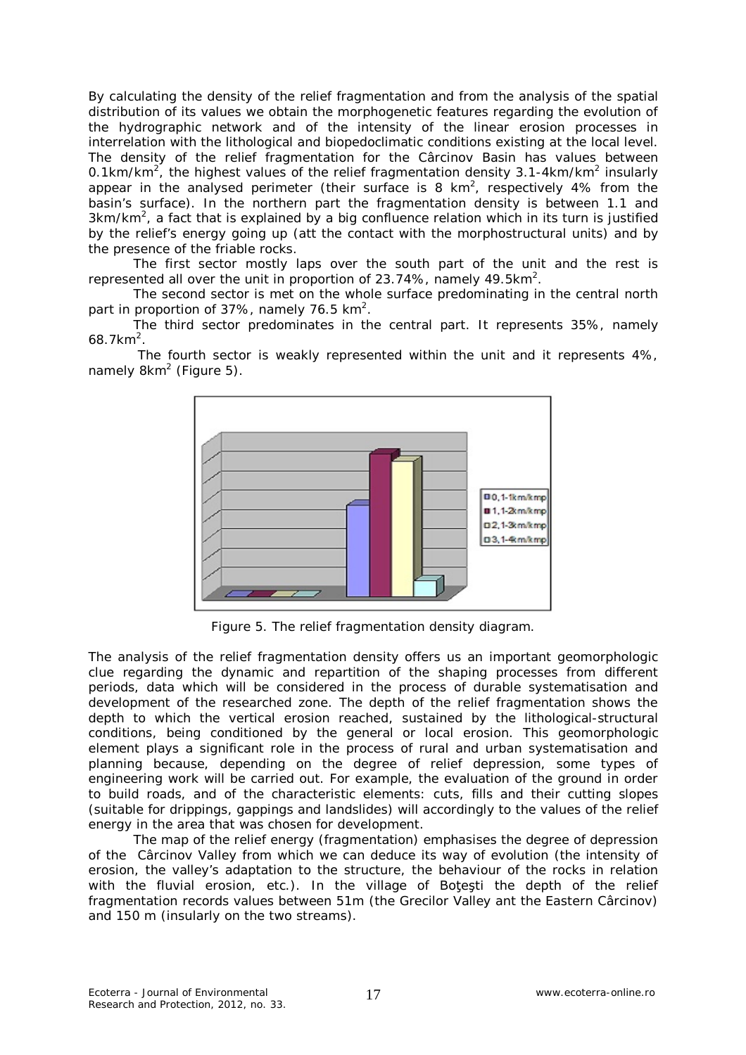By calculating the density of the relief fragmentation and from the analysis of the spatial distribution of its values we obtain the morphogenetic features regarding the evolution of the hydrographic network and of the intensity of the linear erosion processes in interrelation with the lithological and biopedoclimatic conditions existing at the local level. The density of the relief fragmentation for the Cârcinov Basin has values between 0.1km/km<sup>2</sup>, the highest values of the relief fragmentation density 3.1-4km/km<sup>2</sup> insularly appear in the analysed perimeter (their surface is 8 km<sup>2</sup>, respectively 4% from the basin's surface). In the northern part the fragmentation density is between 1.1 and  $3km/km<sup>2</sup>$ , a fact that is explained by a big confluence relation which in its turn is justified by the relief's energy going up (att the contact with the morphostructural units) and by the presence of the friable rocks.

The first sector mostly laps over the south part of the unit and the rest is represented all over the unit in proportion of 23.74%, namely 49.5km<sup>2</sup>.

The second sector is met on the whole surface predominating in the central north part in proportion of 37%, namely 76.5 km<sup>2</sup>.

The third sector predominates in the central part. It represents 35%, namely  $68.7$  km<sup>2</sup>.

The fourth sector is weakly represented within the unit and it represents 4%, namely 8km<sup>2</sup> (Figure 5).



Figure 5. The relief fragmentation density diagram.

The analysis of the relief fragmentation density offers us an important geomorphologic clue regarding the dynamic and repartition of the shaping processes from different periods, data which will be considered in the process of durable systematisation and development of the researched zone. The depth of the relief fragmentation shows the depth to which the vertical erosion reached, sustained by the lithological-structural conditions, being conditioned by the general or local erosion. This geomorphologic element plays a significant role in the process of rural and urban systematisation and planning because, depending on the degree of relief depression, some types of engineering work will be carried out. For example, the evaluation of the ground in order to build roads, and of the characteristic elements: cuts, fills and their cutting slopes (suitable for drippings, gappings and landslides) will accordingly to the values of the relief energy in the area that was chosen for development.

The map of the relief energy (fragmentation) emphasises the degree of depression of the Cârcinov Valley from which we can deduce its way of evolution (the intensity of erosion, the valley's adaptation to the structure, the behaviour of the rocks in relation with the fluvial erosion, etc.). In the village of Botesti the depth of the relief fragmentation records values between 51m (the Grecilor Valley ant the Eastern Cârcinov) and 150 m (insularly on the two streams).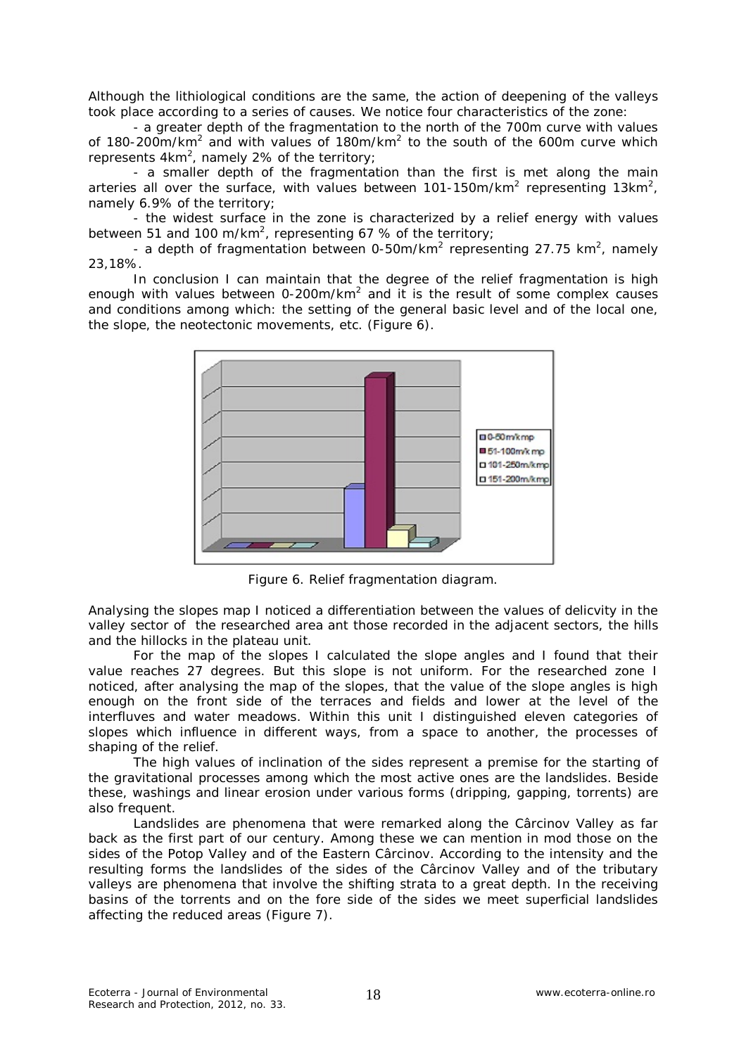Although the lithiological conditions are the same, the action of deepening of the valleys took place according to a series of causes. We notice four characteristics of the zone:

- a greater depth of the fragmentation to the north of the 700m curve with values of 180-200m/km<sup>2</sup> and with values of 180m/km<sup>2</sup> to the south of the 600m curve which represents  $4km^2$ , namely 2% of the territory;

- a smaller depth of the fragmentation than the first is met along the main arteries all over the surface, with values between 101-150m/km<sup>2</sup> representing 13km<sup>2</sup>, namely 6.9% of the territory;

- the widest surface in the zone is characterized by a relief energy with values between 51 and 100 m/km<sup>2</sup>, representing 67 % of the territory;

- a depth of fragmentation between 0-50m/km<sup>2</sup> representing 27.75 km<sup>2</sup>, namely 23,18%.

In conclusion I can maintain that the degree of the relief fragmentation is high enough with values between 0-200m/km<sup>2</sup> and it is the result of some complex causes and conditions among which: the setting of the general basic level and of the local one, the slope, the neotectonic movements, etc. (Figure 6).



Figure 6. Relief fragmentation diagram.

Analysing the slopes map I noticed a differentiation between the values of delicvity in the valley sector of the researched area ant those recorded in the adjacent sectors, the hills and the hillocks in the plateau unit.

For the map of the slopes I calculated the slope angles and I found that their value reaches 27 degrees. But this slope is not uniform. For the researched zone I noticed, after analysing the map of the slopes, that the value of the slope angles is high enough on the front side of the terraces and fields and lower at the level of the interfluves and water meadows. Within this unit I distinguished eleven categories of slopes which influence in different ways, from a space to another, the processes of shaping of the relief.

The high values of inclination of the sides represent a premise for the starting of the gravitational processes among which the most active ones are the landslides. Beside these, washings and linear erosion under various forms (dripping, gapping, torrents) are also frequent.

Landslides are phenomena that were remarked along the Cârcinov Valley as far back as the first part of our century. Among these we can mention in mod those on the sides of the Potop Valley and of the Eastern Cârcinov. According to the intensity and the resulting forms the landslides of the sides of the Cârcinov Valley and of the tributary valleys are phenomena that involve the shifting strata to a great depth. In the receiving basins of the torrents and on the fore side of the sides we meet superficial landslides affecting the reduced areas (Figure 7).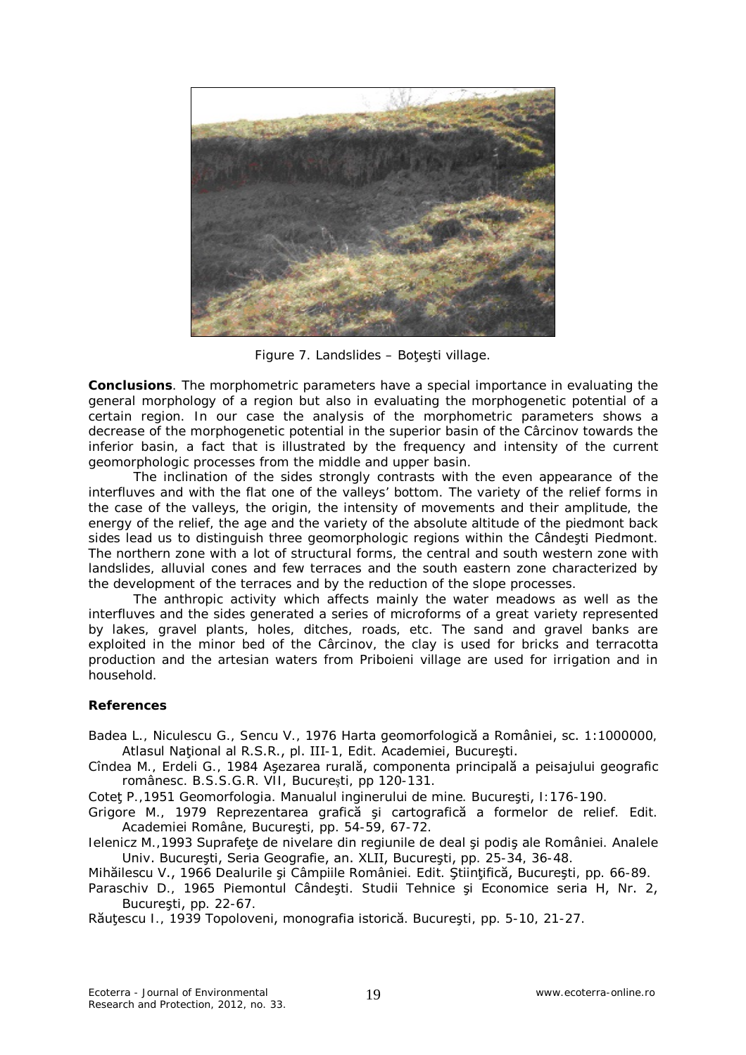

Figure 7. Landslides – Botesti village.

**Conclusions**. The morphometric parameters have a special importance in evaluating the general morphology of a region but also in evaluating the morphogenetic potential of a certain region. In our case the analysis of the morphometric parameters shows a decrease of the morphogenetic potential in the superior basin of the Cârcinov towards the inferior basin, a fact that is illustrated by the frequency and intensity of the current geomorphologic processes from the middle and upper basin.

The inclination of the sides strongly contrasts with the even appearance of the interfluves and with the flat one of the valleys' bottom. The variety of the relief forms in the case of the valleys, the origin, the intensity of movements and their amplitude, the energy of the relief, the age and the variety of the absolute altitude of the piedmont back sides lead us to distinguish three geomorphologic regions within the Cândeşti Piedmont. The northern zone with a lot of structural forms, the central and south western zone with landslides, alluvial cones and few terraces and the south eastern zone characterized by the development of the terraces and by the reduction of the slope processes.

The anthropic activity which affects mainly the water meadows as well as the interfluves and the sides generated a series of microforms of a great variety represented by lakes, gravel plants, holes, ditches, roads, etc. The sand and gravel banks are exploited in the minor bed of the Cârcinov, the clay is used for bricks and terracotta production and the artesian waters from Priboieni village are used for irrigation and in household.

## **References**

- Badea L., Niculescu G., Sencu V., 1976 Harta geomorfologică a României, sc. 1:1000000, Atlasul Naţional al R.S.R., pl. III-1, Edit. Academiei, Bucureşti.
- Cîndea M., Erdeli G., 1984 Aşezarea rurală, componenta principală a peisajului geografic românesc. B.S.S.G.R. VII, Bucureşti, pp 120-131.

Coteţ P.,1951 Geomorfologia. Manualul inginerului de mine. Bucureşti, I:176-190.

Grigore M., 1979 Reprezentarea grafică şi cartografică a formelor de relief. Edit. Academiei Române, Bucureşti, pp. 54-59, 67-72.

Ielenicz M.,1993 Suprafeţe de nivelare din regiunile de deal şi podiş ale României. Analele Univ. Bucureşti, Seria Geografie, an. XLII, Bucureşti, pp. 25-34, 36-48.

Mihăilescu V., 1966 Dealurile şi Câmpiile României. Edit. Ştiinţifică, Bucureşti, pp. 66-89.

Paraschiv D., 1965 Piemontul Cândeşti. Studii Tehnice şi Economice seria H, Nr. 2, Bucureşti, pp. 22-67.

Răutescu I., 1939 Topoloveni, monografia istorică. București, pp. 5-10, 21-27.